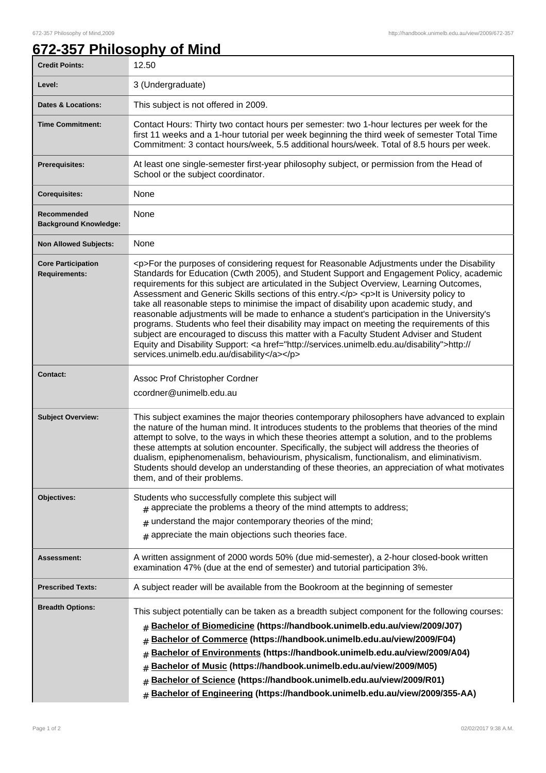٦

## **672-357 Philosophy of Mind**

| <b>Credit Points:</b>                             | 12.50                                                                                                                                                                                                                                                                                                                                                                                                                                                                                                                                                                                                                                                                                                                                                                                                                                                                                                                        |
|---------------------------------------------------|------------------------------------------------------------------------------------------------------------------------------------------------------------------------------------------------------------------------------------------------------------------------------------------------------------------------------------------------------------------------------------------------------------------------------------------------------------------------------------------------------------------------------------------------------------------------------------------------------------------------------------------------------------------------------------------------------------------------------------------------------------------------------------------------------------------------------------------------------------------------------------------------------------------------------|
| Level:                                            | 3 (Undergraduate)                                                                                                                                                                                                                                                                                                                                                                                                                                                                                                                                                                                                                                                                                                                                                                                                                                                                                                            |
| <b>Dates &amp; Locations:</b>                     | This subject is not offered in 2009.                                                                                                                                                                                                                                                                                                                                                                                                                                                                                                                                                                                                                                                                                                                                                                                                                                                                                         |
| <b>Time Commitment:</b>                           | Contact Hours: Thirty two contact hours per semester: two 1-hour lectures per week for the<br>first 11 weeks and a 1-hour tutorial per week beginning the third week of semester Total Time<br>Commitment: 3 contact hours/week, 5.5 additional hours/week. Total of 8.5 hours per week.                                                                                                                                                                                                                                                                                                                                                                                                                                                                                                                                                                                                                                     |
| Prerequisites:                                    | At least one single-semester first-year philosophy subject, or permission from the Head of<br>School or the subject coordinator.                                                                                                                                                                                                                                                                                                                                                                                                                                                                                                                                                                                                                                                                                                                                                                                             |
| <b>Corequisites:</b>                              | None                                                                                                                                                                                                                                                                                                                                                                                                                                                                                                                                                                                                                                                                                                                                                                                                                                                                                                                         |
| Recommended<br><b>Background Knowledge:</b>       | None                                                                                                                                                                                                                                                                                                                                                                                                                                                                                                                                                                                                                                                                                                                                                                                                                                                                                                                         |
| <b>Non Allowed Subjects:</b>                      | None                                                                                                                                                                                                                                                                                                                                                                                                                                                                                                                                                                                                                                                                                                                                                                                                                                                                                                                         |
| <b>Core Participation</b><br><b>Requirements:</b> | <p>For the purposes of considering request for Reasonable Adjustments under the Disability<br/>Standards for Education (Cwth 2005), and Student Support and Engagement Policy, academic<br/>requirements for this subject are articulated in the Subject Overview, Learning Outcomes,<br/>Assessment and Generic Skills sections of this entry.</p> <p>It is University policy to<br/>take all reasonable steps to minimise the impact of disability upon academic study, and<br/>reasonable adjustments will be made to enhance a student's participation in the University's<br/>programs. Students who feel their disability may impact on meeting the requirements of this<br/>subject are encouraged to discuss this matter with a Faculty Student Adviser and Student<br/>Equity and Disability Support: &lt; a href="http://services.unimelb.edu.au/disability"&gt;http://<br/>services.unimelb.edu.au/disability</p> |
| <b>Contact:</b>                                   | Assoc Prof Christopher Cordner<br>ccordner@unimelb.edu.au                                                                                                                                                                                                                                                                                                                                                                                                                                                                                                                                                                                                                                                                                                                                                                                                                                                                    |
| <b>Subject Overview:</b>                          | This subject examines the major theories contemporary philosophers have advanced to explain<br>the nature of the human mind. It introduces students to the problems that theories of the mind<br>attempt to solve, to the ways in which these theories attempt a solution, and to the problems<br>these attempts at solution encounter. Specifically, the subject will address the theories of<br>dualism, epiphenomenalism, behaviourism, physicalism, functionalism, and eliminativism.<br>Students should develop an understanding of these theories, an appreciation of what motivates<br>them, and of their problems.                                                                                                                                                                                                                                                                                                   |
| Objectives:                                       | Students who successfully complete this subject will<br>$#$ appreciate the problems a theory of the mind attempts to address;<br>understand the major contemporary theories of the mind;<br>#<br>$#$ appreciate the main objections such theories face.                                                                                                                                                                                                                                                                                                                                                                                                                                                                                                                                                                                                                                                                      |
| Assessment:                                       | A written assignment of 2000 words 50% (due mid-semester), a 2-hour closed-book written<br>examination 47% (due at the end of semester) and tutorial participation 3%.                                                                                                                                                                                                                                                                                                                                                                                                                                                                                                                                                                                                                                                                                                                                                       |
| <b>Prescribed Texts:</b>                          | A subject reader will be available from the Bookroom at the beginning of semester                                                                                                                                                                                                                                                                                                                                                                                                                                                                                                                                                                                                                                                                                                                                                                                                                                            |
| <b>Breadth Options:</b>                           | This subject potentially can be taken as a breadth subject component for the following courses:<br>Bachelor of Biomedicine (https://handbook.unimelb.edu.au/view/2009/J07)<br>#<br>Bachelor of Commerce (https://handbook.unimelb.edu.au/view/2009/F04)<br>#<br>Bachelor of Environments (https://handbook.unimelb.edu.au/view/2009/A04)<br>#<br>Bachelor of Music (https://handbook.unimelb.edu.au/view/2009/M05)<br>Bachelor of Science (https://handbook.unimelb.edu.au/view/2009/R01)<br>#<br>Bachelor of Engineering (https://handbook.unimelb.edu.au/view/2009/355-AA)<br>#                                                                                                                                                                                                                                                                                                                                            |